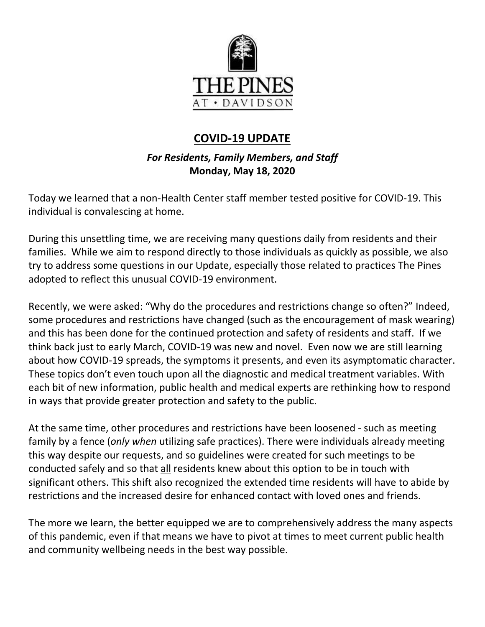

# **COVID-19 UPDATE**

# *For Residents, Family Members, and Staff* **Monday, May 18, 2020**

Today we learned that a non-Health Center staff member tested positive for COVID-19. This individual is convalescing at home.

During this unsettling time, we are receiving many questions daily from residents and their families. While we aim to respond directly to those individuals as quickly as possible, we also try to address some questions in our Update, especially those related to practices The Pines adopted to reflect this unusual COVID-19 environment.

Recently, we were asked: "Why do the procedures and restrictions change so often?" Indeed, some procedures and restrictions have changed (such as the encouragement of mask wearing) and this has been done for the continued protection and safety of residents and staff. If we think back just to early March, COVID-19 was new and novel. Even now we are still learning about how COVID-19 spreads, the symptoms it presents, and even its asymptomatic character. These topics don't even touch upon all the diagnostic and medical treatment variables. With each bit of new information, public health and medical experts are rethinking how to respond in ways that provide greater protection and safety to the public.

At the same time, other procedures and restrictions have been loosened - such as meeting family by a fence (*only when* utilizing safe practices). There were individuals already meeting this way despite our requests, and so guidelines were created for such meetings to be conducted safely and so that all residents knew about this option to be in touch with significant others. This shift also recognized the extended time residents will have to abide by restrictions and the increased desire for enhanced contact with loved ones and friends.

The more we learn, the better equipped we are to comprehensively address the many aspects of this pandemic, even if that means we have to pivot at times to meet current public health and community wellbeing needs in the best way possible.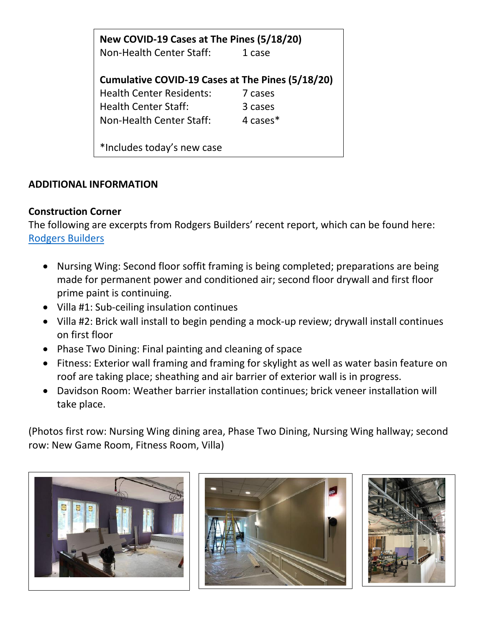| New COVID-19 Cases at The Pines (5/18/20)        |          |
|--------------------------------------------------|----------|
| Non-Health Center Staff:                         | 1 case   |
|                                                  |          |
| Cumulative COVID-19 Cases at The Pines (5/18/20) |          |
| <b>Health Center Residents:</b>                  | 7 cases  |
| <b>Health Center Staff:</b>                      | 3 cases  |
| Non-Health Center Staff:                         | 4 cases* |
|                                                  |          |
| *Includes today's new case                       |          |

#### **ADDITIONAL INFORMATION**

#### **Construction Corner**

The following are excerpts from Rodgers Builders' recent report, which can be found here: [Rodgers Builders](https://www.mycommunity-center.com/filephotos/463/Rodgers%20Report%205%20-15.pdf)

- Nursing Wing: Second floor soffit framing is being completed; preparations are being made for permanent power and conditioned air; second floor drywall and first floor prime paint is continuing.
- Villa #1: Sub-ceiling insulation continues
- Villa #2: Brick wall install to begin pending a mock-up review; drywall install continues on first floor
- Phase Two Dining: Final painting and cleaning of space
- Fitness: Exterior wall framing and framing for skylight as well as water basin feature on roof are taking place; sheathing and air barrier of exterior wall is in progress.
- Davidson Room: Weather barrier installation continues; brick veneer installation will take place.

(Photos first row: Nursing Wing dining area, Phase Two Dining, Nursing Wing hallway; second row: New Game Room, Fitness Room, Villa)





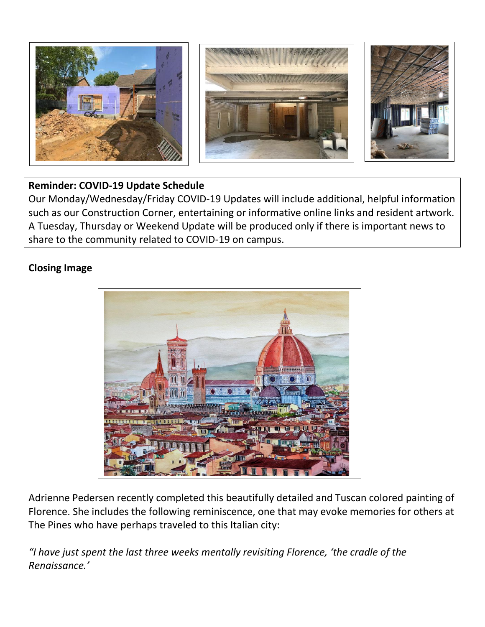

## **Reminder: COVID-19 Update Schedule**

Our Monday/Wednesday/Friday COVID-19 Updates will include additional, helpful information such as our Construction Corner, entertaining or informative online links and resident artwork. A Tuesday, Thursday or Weekend Update will be produced only if there is important news to share to the community related to COVID-19 on campus.

## **Closing Image**



Adrienne Pedersen recently completed this beautifully detailed and Tuscan colored painting of Florence. She includes the following reminiscence, one that may evoke memories for others at The Pines who have perhaps traveled to this Italian city:

*"I have just spent the last three weeks mentally revisiting Florence, 'the cradle of the Renaissance.'*